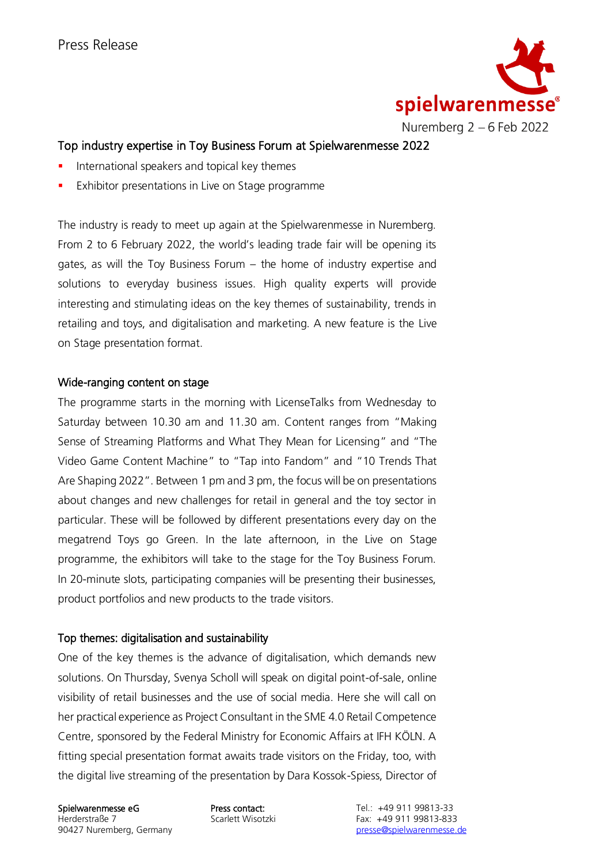

# Top industry expertise in Toy Business Forum at Spielwarenmesse 2022

- **■** International speakers and topical key themes
- Exhibitor presentations in Live on Stage programme

The industry is ready to meet up again at the Spielwarenmesse in Nuremberg. From 2 to 6 February 2022, the world's leading trade fair will be opening its gates, as will the Toy Business Forum – the home of industry expertise and solutions to everyday business issues. High quality experts will provide interesting and stimulating ideas on the key themes of sustainability, trends in retailing and toys, and digitalisation and marketing. A new feature is the Live on Stage presentation format.

## Wide-ranging content on stage

The programme starts in the morning with LicenseTalks from Wednesday to Saturday between 10.30 am and 11.30 am. Content ranges from "Making Sense of Streaming Platforms and What They Mean for Licensing" and "The Video Game Content Machine" to "Tap into Fandom" and "10 Trends That Are Shaping 2022". Between 1 pm and 3 pm, the focus will be on presentations about changes and new challenges for retail in general and the toy sector in particular. These will be followed by different presentations every day on the megatrend Toys go Green. In the late afternoon, in the Live on Stage programme, the exhibitors will take to the stage for the Toy Business Forum. In 20-minute slots, participating companies will be presenting their businesses, product portfolios and new products to the trade visitors.

## Top themes: digitalisation and sustainability

One of the key themes is the advance of digitalisation, which demands new solutions. On Thursday, Svenya Scholl will speak on digital point-of-sale, online visibility of retail businesses and the use of social media. Here she will call on her practical experience as Project Consultant in the SME 4.0 Retail Competence Centre, sponsored by the Federal Ministry for Economic Affairs at IFH KÖLN. A fitting special presentation format awaits trade visitors on the Friday, too, with the digital live streaming of the presentation by Dara Kossok-Spiess, Director of

Herderstraße 7 and Scarlett Wisotzki Fax: +49 911 99813-833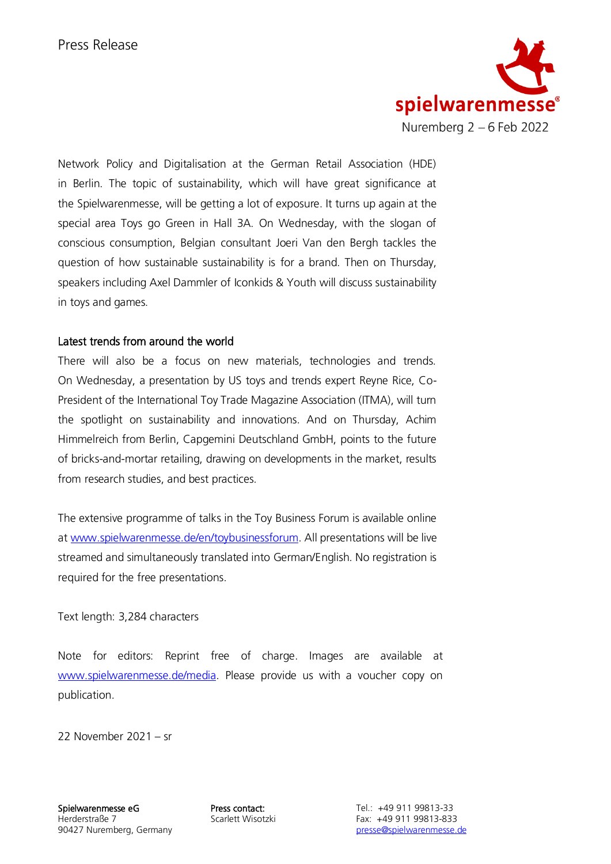

Network Policy and Digitalisation at the German Retail Association (HDE) in Berlin. The topic of sustainability, which will have great significance at the Spielwarenmesse, will be getting a lot of exposure. It turns up again at the special area Toys go Green in Hall 3A. On Wednesday, with the slogan of conscious consumption, Belgian consultant Joeri Van den Bergh tackles the question of how sustainable sustainability is for a brand. Then on Thursday, speakers including Axel Dammler of Iconkids & Youth will discuss sustainability in toys and games.

## Latest trends from around the world

There will also be a focus on new materials, technologies and trends. On Wednesday, a presentation by US toys and trends expert Reyne Rice, Co-President of the International Toy Trade Magazine Association (ITMA), will turn the spotlight on sustainability and innovations. And on Thursday, Achim Himmelreich from Berlin, Capgemini Deutschland GmbH, points to the future of bricks-and-mortar retailing, drawing on developments in the market, results from research studies, and best practices.

The extensive programme of talks in the Toy Business Forum is available online a[t www.spielwarenmesse.de/en/toybusinessforum.](http://www.spielwarenmesse.de/en/toybusinessforum) All presentations will be live streamed and simultaneously translated into German/English. No registration is required for the free presentations.

## Text length: 3,284 characters

Note for editors: Reprint free of charge. Images are available at [www.spielwarenmesse.de/media.](https://spielwarenmesse.imageplant.de/qshare/media/quickshare/2221-BF83-FE68) Please provide us with a voucher copy on publication.

22 November 2021 – sr